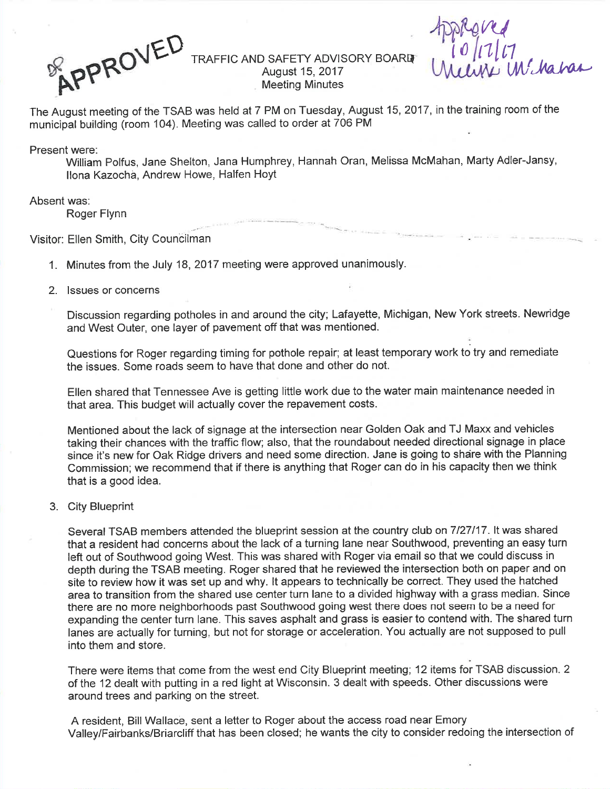ROVE

 $B$  **APPROVEL** TRAFFIC AND SAFETY ADVISORY BOARD (10/17/17 August 15, 2017 Meeting Minutes

 $n_{d}$ 

The August meeting of the TSAB was held at 7 PM on Tuesday, August 15,2017, in the training room of themunicipal building (room 104). Meeting was called to order at 706 PM

Present were:

 William Polfus, Jane Shelton, Jana Humphrey, Hannah Oran, Melissa McMahan, Marty Adler-Jansy, llona Kazochà, Andrew Howe, Halfen Hoyt

## Absent was:

Roger Flynn

Visitor: Ellen Smith, City Counóilman

1. Minutes from the July 18,2017 meeting were approved unanimously.

## 2. lssues or concerns

Discussion regarding potholes in and around the city; Lafayette, Michigan, New York streets. Newridgeand West Outer, one layer of pavement off that was mentioned.

Questions for Roger regarding timing for pothole repair; at least temporary work to try and remediatethe issues. Some roads seem to have that done and other do not.

Ellen shared that Tennessee Ave is getting little work due to the water main maintenance needed inthat area. This budget will actually cover the repavement costs.

Mentioned about the lack of signage at the intersection near Golden Oak and TJ Maxx and vehicles taking their chances with the traffic flow; also, that the roundabout needed directional signage in place since it's new for Oak Ridge drivers and need some direction. Jane is going to shâre with the PlanningCommission; we recommend that if there is anything that Roger can do in his capacity then we thinkthat is a good idea.

# 3. City Blueprint

Several TSAB members attended the blueprint session at the country club on 7127117. lt was shared that a resident had concerns about the lack of a turning lane near Southwood, preventing an easy turnleft out of Southwood going West. This was shared with Roger via email so that we could discuss in depth during the TSAB meeting. Roger shared that he reviewed the intersection both on paper and on site to review how it was set up and why. lt appears to technically be correct. They used the hatched area to transition from the shared use center turn lane to a divided highway with a grass median. Sincethere are no more neighborhoods past Southwood going west there does not seem to be a need forexpanding the center turn lane. This saves asphalt and grass is easier to contend with. The shared turr lanes are actually for turning, but not for storage or acceleration. You actually are not supposed to pull into them and store.

There were items that come from the west end City Blueprint meeting; 12 items for TSAB discussion. <sup>2</sup>of the 12 dealt with putting in a red light at Wisconsin. 3 dealt with speeds. Other discussions werearound trees and parking on the street.

A resident, Bill Wallace, sent a letter to Roger about the access road near EmoryValley/Fairbanks/Briarcliff that has been closed; he wants the city to consider redoing the intersection of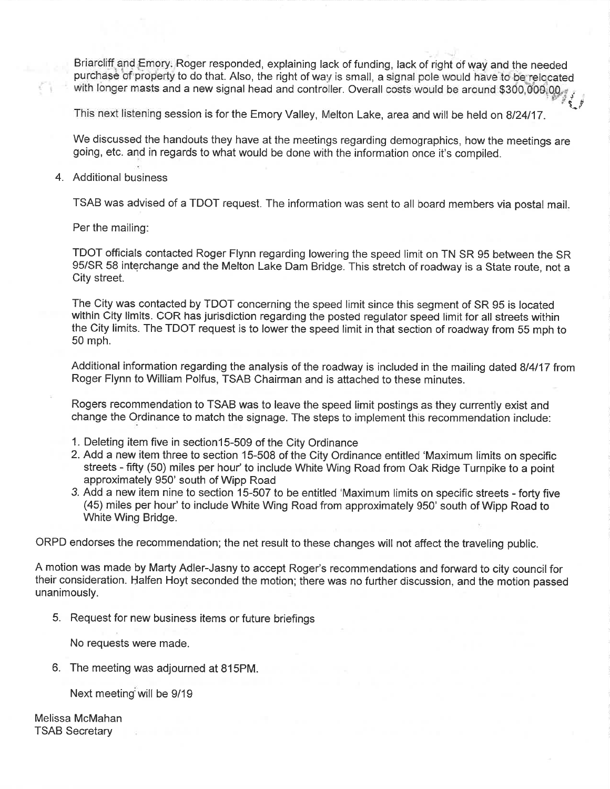Briarcliff and Emory, Roger responded, explaining lack of funding, lack of right of way and the needed purchase of property to do that. Also, the right of way is small, a signal pole would have to be relocated with longer masts and a new signal head and controller. Overall costs would be around \$300,000,00.

This next listening session is for the Emory Valley, Melton Lake, area and will be held on 8/24/17.

We discussed the handouts they have at the meetings regarding demographics, how the meetings are going, etc. and in regards to what would be done with the information once it's compiled.

# 4. Additional business

TSAB was advised of a TDOT request. The information was sent to all board members via postal mail.

Per the mailing.

TDOT officials contacted Roger Flynn regarding lowering the speed limit on TN SR 95 between the SR 95/SR 58 interchange and the Melton Lake Dam Bridge. This stretch of roadway is a State route, not a City street.

The City was contacted by TDOT concerning the speed limit since this segment of SR 95 is located within City limits. COR has jurisdiction regarding the posted regulator speed limit for all streets within the City limits. The TDOT request is to lower the speed limit in that section of roadway from 55 mph to 50 mph.

Additional information regarding the analysis of the roadway is included in the mailing dated 8/4/17 from Roger Flynn to William Polfus, TSAB Chairman and is attached to these minutes.

Rogers recommendation to TSAB was to leave the speed limit postings as they curently exist and change the Ordinance to match the signage. The steps to implement this recommendation include:

- 1. Deleting item five in section 15-509 of the City Ordinance
- 2. Add a new item three to section 15-508 of the City Ordinance entitled 'Maximum límits on specific streets - fifty (50) miles per hour' to include White Wing Road from Oak Ridge Turnpike to a point approximately 950' south of Wipp Road
- 3. Add a new item nine to section 15-507 to be entitled 'Maximum limits on specific streets forty five (45) miles per hour' to include White Wing Road from approximately 950' south of Wipp Road to White Wing Bridge.

ORPD endorses the recommendation; the net result to these changes will not affect the traveling public.

A motion was made by Marty Adler-Jasny to accept Roger's recommendations and forward to city council for their consideration. Halfen Hoyt seconded the motion; there was no further discussion, and the motion passed unanimously.

5. Request for new business items or future briefings

No requests were made.

6. The meeting was adjourned at 815PM.

Next meeting will be 9/19

Melissa McMahan TSAB Secretary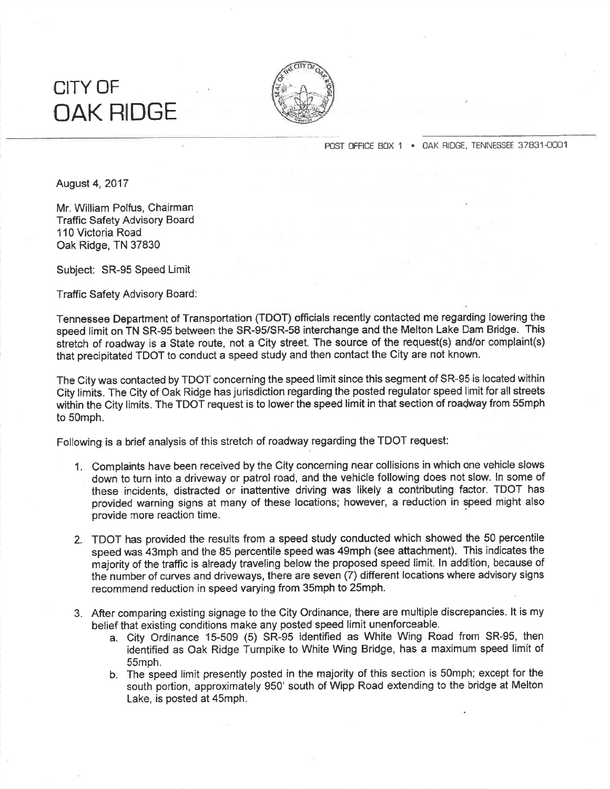# CITY OFOAK HIDGE



POST OFFICE BOX 1 · OAK RIDGE, TENNESSEE 37831-0001

August 4,2017

Mr. William Polfus, Chairman Traffic Safety Advisory Board110 Victoria RoadOak Ridge, TN 37830

Subject: SR-95 Speed Limit

Traffic Safety Advisory Board:

Tennessee Department of Transportation (TDOT) officials recently contacted me regarding lowering the speed limit on TN SR-95 between the SR-95/SR-58 interchange and the Melton Lake Dam Bridge. This stretch of roadway is a State route, not a City street. The source of the request(s) and/or complaint(s) that precipitated TDOT to conduct a speed study and then contact the City are not known.

The City was contacted by TDOT concerning the speed limit since this segment of SR-95 is located withinCity limits. The City of Oak Ridge has jurisdiction regarding the posted regulator speed limit for all streets within the City limits. The TDOT request is to lower the speed limit in that section of roadway from 55mph to 50mph.

Following is a brief analysis of this stretch of roadway.regarding the TDOT request:

- 1. Complaints have been received by the City concerning near collisions in which one vehicle slows down to turn into a driveway or patrol road, and the vehicle following does not slow. ln some of these incidents, distracted or inattentive driving was likely a contributing factor. TDOT has provided warning signs at many of these locations; however, a reduction in speed might alsoprovide more reaction time.
- 2. TDOT has provided the results from a speed study conducted which showed the 50 percentile speed was 43mph and the 85 percentile speed was 49mph (see attachment). This indicates the majority of the traffic is already traveling below the proposed speed timit. ln addition, because of the number of curves and driveways, there are seven (7) different locations where advisory signsrecommend reduction in speed varying from 35mph to 25mph.
- 3. After comparing existing signage to the City Ordinance, there are multiple discrepancies. lt is mybelief that existing conditions make any posted speed limit unenforceable.
	- a. City Ordinance 15-509 (5) SR-95 identified as White Wing Road from SR-95, then identified as Oak Ridge Turnpike to White Wing Bridge, has a maxímum speed limit of 55mph.
	- b. The speed limit presently posted in the majority of this section is 50mph; except for the south portion, approximately 950' south of Wipp Road extending to the bridge at MeltonLake, is posted at 45mph.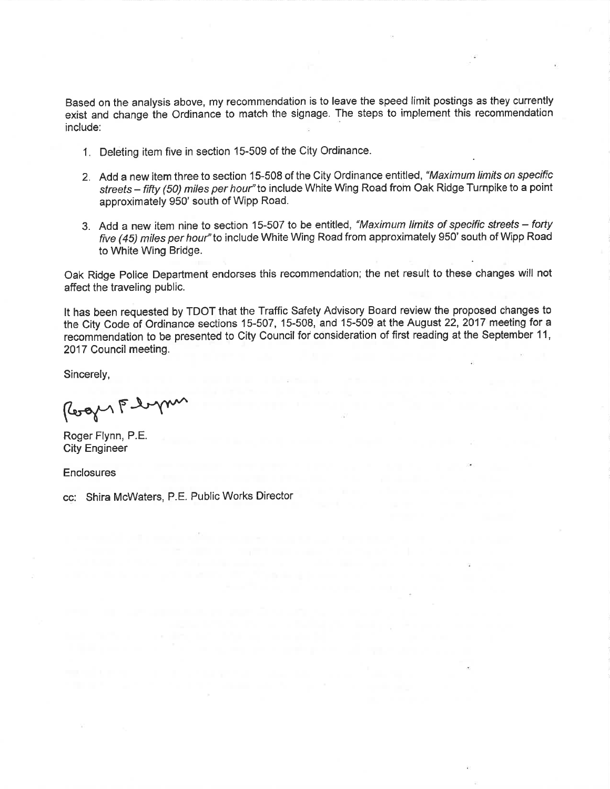Based on the analysis above, my recommendation is to leave the speed limit postings as they currently exist and change the Ordinance to match the signage. The steps to implement this recommendation include:

- <sup>1</sup>. Deleting item five in section 15-509 of the City Ordinance.
- 2. Add a new item three to section 15-508 of the City Ordinance entitled, "Maximum limits on specific streets - fifty (50) miles per hour" to include White Wing Road from Oak Ridge Turnpike to a point approximately 950' south of Wipp Road.
- 3. Add a new item nine to section 15-507 to be entitled, "Maximum limits of specific streets forty five (45) miles per hour" to include White Wing Road from approximately 950' south of Wipp Road to White Wing Bridge.

Oak Ridge Police Department endorses this recommendation; the net result to these changes will not affect the traveling public.

It has been requested by TDOT that the Traffic Safety Advisory Board review the proposed changes to the City Code of Ordinance sections 15-507, 15-508, and 15-509 at the August 22, 2017 meeting for a recommendation to be presented to City Council for consideration of first reading at the September 11, 2017 Council meeting

Sincerely,

Roger Floym

Roger Flynn, P.E. City Engineer

**Enclosures** 

cc: Shira McWaters, P.E. Public Works Director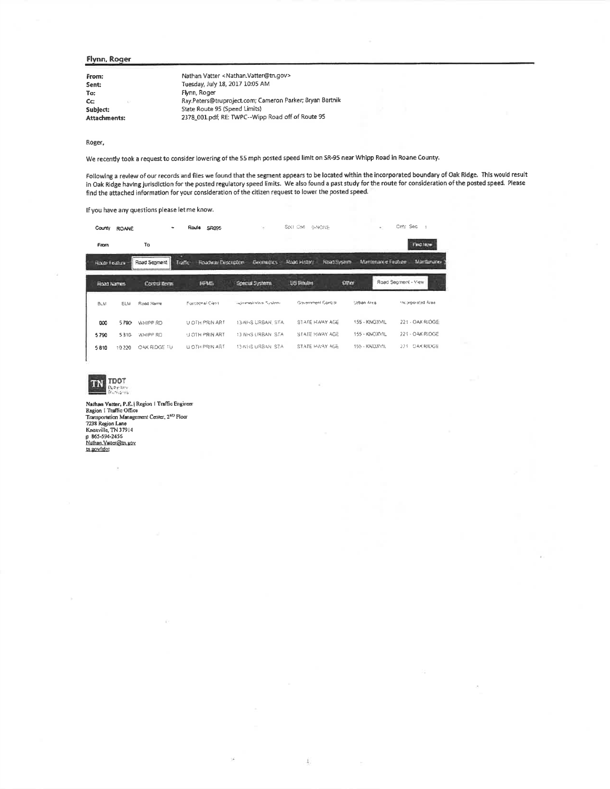#### Flynn, Roger

| From:        | Nathan Vatter < Nathan. Vatter@tn.gov>                   |
|--------------|----------------------------------------------------------|
| Sent:        | Tuesday, July 18, 2017 10:05 AM                          |
| To:          | Flynn, Roger                                             |
| Cc:<br>K.    | Ray.Peters@truproject.com; Cameron Parker; Bryan Bartnik |
| Subject:     | State Route 95 (Speed Limits)                            |
| Attachments: | 2378 001.pdf; RE: TWPC--Wipp Road off of Route 95        |
|              |                                                          |

Roger,

We recently took a request to consider lowering of the 55 mph posted speed limit on SR-95 near Whipp Road in Roane County.

Following a review of our records and files we found that the segment appears to be located within the incorporated boundary of Oak Ridge. This would result<br>in Oak Ridge having jurisdiction for the posted regulatory speed find the attached information for your consideration of the citizen request to lower the posted speed.

Í

If you have any questions please let me know.

| County            | <b>ROANE</b> | ۰            | Route<br><b>SR095</b>                              | $\sim$                 | Spill Cs6<br>D-NONE                | $\mathbb{R}^n$       | City Sec            |
|-------------------|--------------|--------------|----------------------------------------------------|------------------------|------------------------------------|----------------------|---------------------|
| From              |              | To           |                                                    |                        |                                    |                      | First face          |
| Rocte Feature     |              | Road Segment | <b><i>HOADWAY ENGERERIES</i></b><br><b>Traffic</b> | <b>Geometres</b>       | Road System<br><b>Road History</b> | Mamteriant e Feature | Martinriano         |
| <b>ROOT Names</b> |              | Corrul form  | 14915                                              | <b>Special Systems</b> | Other<br><b>US Noutin</b>          |                      | Road Segment - View |
| <b>BLM</b>        | ELM          | Road Name    | Fonchemal Class                                    | automentration Systems | Government Gontral                 | Urban Arca           | the personnel are   |
| 000               | 5700         | WHIPP RD     | U OTH PRIN ART                                     | 13-NHS URBAN, STA.     | STATE HAJAY AGE                    | 155 - KNOXVIL        | 221 - OAK RJÓGE     |
| 5790              | 5810         | WHIPP RD     | U OTH PRIN ART                                     | 13 NHS URBAN STA       | STATE HWAY AGE                     | 155 - KINOXVIL       | 221 - OAK RIOGE     |
| 5810              | 19 220       | OAK RIDGE TU | <b>U OTH PRIN ART</b>                              | 13-NHS URBAN STA       | STATE HWAY AGE                     | 155 - KNOXVIL        | 221 OAK RIDGE       |



I

Nathen Vatter, P.E. | Region | Traffic Engineer<br>Region | Traffic Office<br>Transportation Management Center, 2<sup>NU</sup> Floor<br>7238 Region Lane<br>Knoxville, TN 37914<br>p 865-594-2456<br>Nathan Vauer@tn.gov<br>Nihan Vauer@tn.gov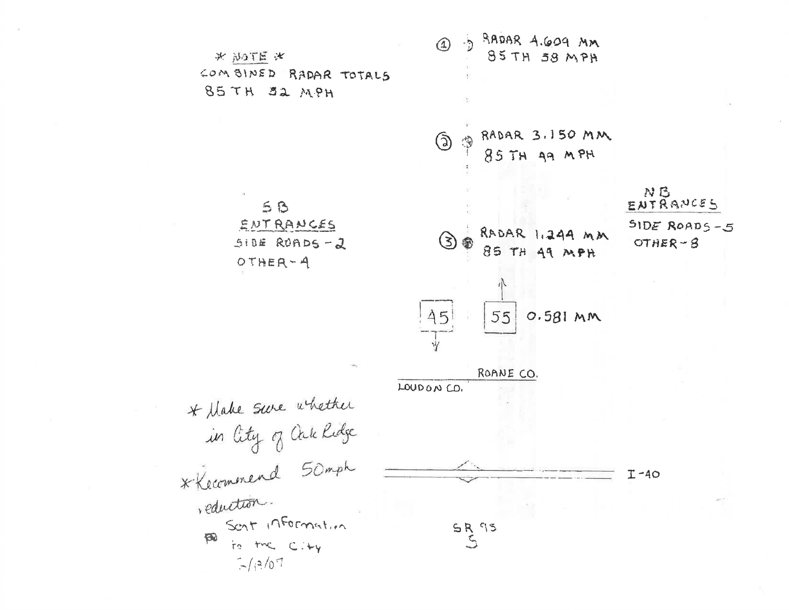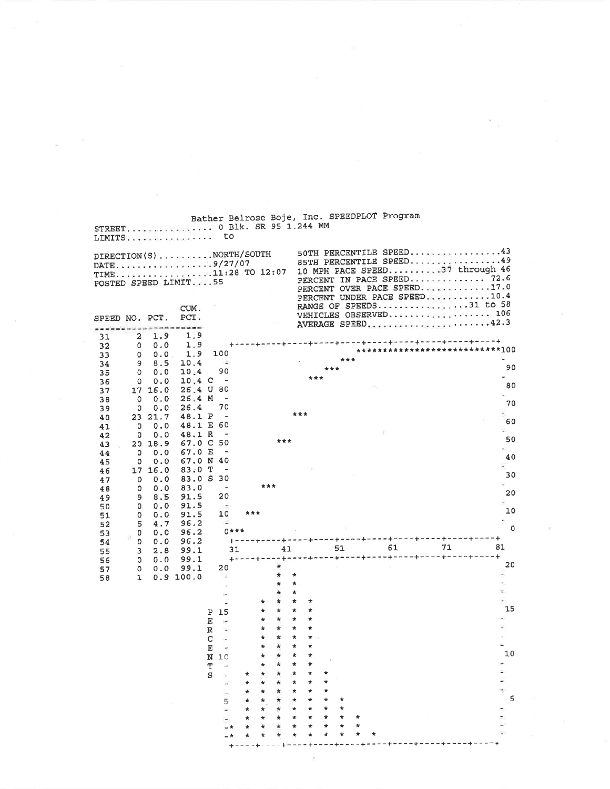| DIRECTION(S) NORTH/SOUTH<br>POSTED SPEED LIMIT55 |                     |                     |                        |              |                                            |         |         |               |                    |         |              |        |   | 50TH PERCENTILE SPEED43<br>85TH PERCENTILE SPEED49<br>10 MPH PACE SPEED37 through 46<br>PERCENT OVER PACE SPEED17.0<br>PERCENT UNDER PACE SPEED10.4 |    |    |
|--------------------------------------------------|---------------------|---------------------|------------------------|--------------|--------------------------------------------|---------|---------|---------------|--------------------|---------|--------------|--------|---|-----------------------------------------------------------------------------------------------------------------------------------------------------|----|----|
| SPEED NO. PCT.<br>,,,,,,,,,,,,,,,,,,,,,          |                     |                     | CUM.<br>PCT.           |              |                                            |         |         |               |                    |         |              |        |   | RANGE OF SPEEDS31 to 58<br>AVERAGE SPEED.                                                                                                           |    |    |
| 31                                               | $\overline{a}$<br>0 | 1.9<br>0.0          | 1.9<br>1.9             |              |                                            |         |         |               |                    |         |              |        |   | --------------------------------------                                                                                                              |    |    |
| 32<br>33                                         | 0                   | 0.0                 | 1.9                    |              | 100                                        |         |         |               |                    |         |              |        |   | ***************************100                                                                                                                      |    |    |
| 34                                               | 9                   | 8.5                 | 10.4                   |              | $\sim$                                     |         |         |               |                    |         | ***          | ***    |   |                                                                                                                                                     |    |    |
| 35                                               | 0                   | 0.0                 | 10.4                   |              | 90                                         |         |         |               |                    | ***     |              |        |   |                                                                                                                                                     |    |    |
| 36<br>37                                         | $\circ$             | 0.0<br>17 16.0      | $10.4\,C$<br>26.4 U 80 |              | $\overline{\phantom{0}}$                   |         |         |               |                    |         |              |        |   |                                                                                                                                                     |    |    |
| 38                                               | $\mathbf 0$         | 0.0                 | 26.4 M                 |              | $\sim$                                     |         |         |               |                    |         |              |        |   |                                                                                                                                                     |    |    |
| 39                                               | 0                   | 0.0                 | 26.4                   |              | 70                                         |         |         |               |                    |         |              |        |   |                                                                                                                                                     |    |    |
| 40                                               |                     | 23 21.7             | 48.1 P                 |              | $\qquad \qquad \blacksquare$               |         |         |               | ***                |         |              |        |   |                                                                                                                                                     |    |    |
| 41                                               | 0                   | 0.0                 | 48.1 E 60              |              | $\overline{\phantom{a}}$                   |         |         |               |                    |         |              |        |   |                                                                                                                                                     |    |    |
| 42<br>43                                         | 0                   | 0.0<br>20 18.9      | 48.1 R<br>67.0 C 50    |              |                                            |         |         | ***           |                    |         |              |        |   |                                                                                                                                                     |    |    |
| 44                                               | 0                   | 0.0                 | 67.0 E                 |              | $\blacksquare$                             |         |         |               |                    |         |              |        |   |                                                                                                                                                     |    |    |
| 45                                               | $\circ$             | 0.0                 | 67.0 N 40              |              |                                            |         |         |               |                    |         |              |        |   |                                                                                                                                                     |    |    |
| 46                                               |                     | 17 16.0             | 83.0 T                 |              |                                            |         |         |               |                    |         |              |        |   |                                                                                                                                                     |    |    |
| 47                                               | $\mathbf{0}$<br>0   | 0.0<br>0.0          | 83.0 S 30<br>83.0      |              |                                            |         | ***     |               |                    |         |              |        |   |                                                                                                                                                     |    |    |
| 48<br>49                                         | 9                   | 8.5                 | 91.5                   |              | 20                                         |         |         |               |                    |         |              |        |   |                                                                                                                                                     |    |    |
| 50                                               | 0                   | 0.0                 | 91.5                   |              |                                            |         |         |               |                    |         |              |        |   |                                                                                                                                                     |    |    |
| 51                                               | 0                   | 0.0                 | 91.5                   |              | 10                                         | ***     |         |               |                    |         |              |        |   |                                                                                                                                                     |    |    |
| 52<br>53                                         | 5<br>0              | $4\,\ldotp7$<br>0.0 | 96.2<br>96.2           |              | $\overline{\phantom{a}}$<br>$0$ ***        |         |         |               |                    |         |              |        |   |                                                                                                                                                     |    |    |
| 54                                               | ٥                   | 0.0                 | 96.2                   |              | $+ -$                                      |         |         |               |                    |         |              |        |   | ---+----+----+----+-----------------                                                                                                                |    | 81 |
| 55                                               | 3                   | 2.8                 | 99.1                   |              | 31                                         |         |         | 41            |                    |         |              | 51     |   | 61<br>**********************************                                                                                                            | 71 |    |
| 56<br>57                                         | 0<br>$\circ$        | 0.0<br>0.0          | 99.1<br>99.1           |              | 20                                         |         |         |               |                    |         |              |        |   |                                                                                                                                                     |    |    |
| 58                                               | 1                   |                     | 0.9 100.0              |              | ×                                          |         |         | *             | $\star$            |         |              |        |   |                                                                                                                                                     |    |    |
|                                                  |                     |                     |                        |              |                                            |         |         | *             | $\star$            |         |              |        |   |                                                                                                                                                     |    |    |
|                                                  |                     |                     |                        |              |                                            |         | *       | ÷<br>$\star$  | $\star$<br>$\star$ | $\star$ |              |        |   |                                                                                                                                                     |    |    |
|                                                  |                     |                     |                        |              | P 15                                       |         | $\star$ | $\star$       | $\star$            | $\star$ |              |        |   |                                                                                                                                                     |    |    |
|                                                  |                     |                     |                        | Е            | $\sim$                                     |         | $\star$ | $\frac{1}{N}$ | $\star$            | $\star$ |              |        |   |                                                                                                                                                     |    |    |
|                                                  |                     |                     |                        | $\mathbb{R}$ | - 12                                       |         | $\star$ | $\star$       | $\star$            | $\star$ |              |        |   |                                                                                                                                                     |    |    |
|                                                  |                     |                     |                        | C.           |                                            |         | $\star$ | ÷.<br>÷       | $\star$<br>$\star$ | $\star$ |              |        |   |                                                                                                                                                     |    |    |
|                                                  |                     |                     |                        | E            | <b>Contract Contract Contract Contract</b> |         | *<br>*  |               |                    |         |              |        |   |                                                                                                                                                     |    |    |
|                                                  |                     |                     |                        | T            | N 10                                       |         |         |               |                    |         |              |        |   |                                                                                                                                                     |    |    |
|                                                  |                     |                     |                        | S            |                                            | *       | *       | *             | ×                  | *       | $\pmb{\ast}$ |        |   |                                                                                                                                                     |    |    |
|                                                  |                     |                     |                        |              | ÷                                          | ۰       | *       | ×             | ×                  | *       | $\star$      |        |   |                                                                                                                                                     |    |    |
|                                                  |                     |                     |                        |              | ÷                                          | $\star$ | *       | ×             | $\pmb{\ast}$       | *       | *            |        |   |                                                                                                                                                     |    |    |
|                                                  |                     |                     |                        |              | 5                                          | ŵ<br>*  | ₩<br>*  | ×<br>*        | ÷<br>$\star$       | *       | ÷            | *<br>* |   |                                                                                                                                                     |    |    |
|                                                  |                     |                     |                        |              |                                            | *       | *       | ×             | *                  | *       | $\star$      |        | * |                                                                                                                                                     |    |    |
|                                                  |                     |                     |                        |              |                                            | ÷       |         |               |                    |         | *            |        | * |                                                                                                                                                     |    |    |

 $\kappa = 10^{10}$  .

 $\sim$   $^{-20}$   $^{-10}$ 

 $\sim 10^{-1}$ 

 $\sim$   $\%$